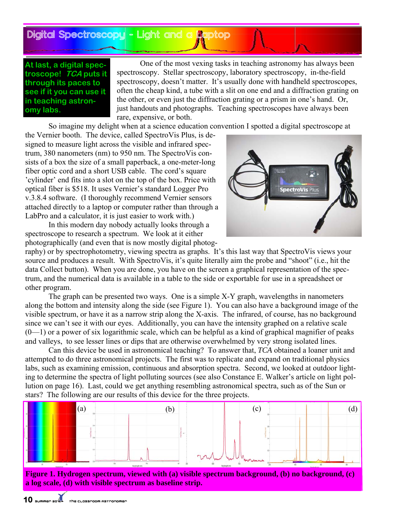Digital Spectroscopy— - Light and a Laptop

## **At last, a digital spectroscope! TCA puts it through its paces to see if it you can use it in teaching astronomy labs.**

 One of the most vexing tasks in teaching astronomy has always been spectroscopy. Stellar spectroscopy, laboratory spectroscopy, in-the-field spectroscopy, doesn't matter. It's usually done with handheld spectroscopes, often the cheap kind, a tube with a slit on one end and a diffraction grating on the other, or even just the diffraction grating or a prism in one's hand. Or, just handouts and photographs. Teaching spectroscopes have always been rare, expensive, or both.

So imagine my delight when at a science education convention I spotted a digital spectroscope at

the Vernier booth. The device, called SpectroVis Plus, is designed to measure light across the visible and infrared spectrum, 380 nanometers (nm) to 950 nm. The SpectroVis consists of a box the size of a small paperback, a one-meter-long fiber optic cord and a short USB cable. The cord's square 'cylinder' end fits into a slot on the top of the box. Price with optical fiber is \$518. It uses Vernier's standard Logger Pro v.3.8.4 software. (I thoroughly recommend Vernier sensors attached directly to a laptop or computer rather than through a LabPro and a calculator, it is just easier to work with.)

 In this modern day nobody actually looks through a spectroscope to research a spectrum. We look at it either photographically (and even that is now mostly digital photog-



raphy) or by spectrophotometry, viewing spectra as graphs. It's this last way that SpectroVis views your source and produces a result. With SpectroVis, it's quite literally aim the probe and "shoot" (i.e., hit the data Collect button). When you are done, you have on the screen a graphical representation of the spectrum, and the numerical data is available in a table to the side or exportable for use in a spreadsheet or other program.

 The graph can be presented two ways. One is a simple X-Y graph, wavelengths in nanometers along the bottom and intensity along the side (see Figure 1). You can also have a background image of the visible spectrum, or have it as a narrow strip along the X-axis. The infrared, of course, has no background since we can't see it with our eyes. Additionally, you can have the intensity graphed on a relative scale  $(0-1)$  or a power of six logarithmic scale, which can be helpful as a kind of graphical magnifier of peaks and valleys, to see lesser lines or dips that are otherwise overwhelmed by very strong isolated lines.

 Can this device be used in astronomical teaching? To answer that, *TCA* obtained a loaner unit and attempted to do three astronomical projects. The first was to replicate and expand on traditional physics labs, such as examining emission, continuous and absorption spectra. Second, we looked at outdoor lighting to determine the spectra of light polluting sources (see also Constance E. Walker's article on light pollution on page 16). Last, could we get anything resembling astronomical spectra, such as of the Sun or stars? The following are our results of this device for the three projects.



**Figure 1. Hydrogen spectrum, viewed with (a) visible spectrum background, (b) no background, (c) a log scale, (d) with visible spectrum as baseline strip.**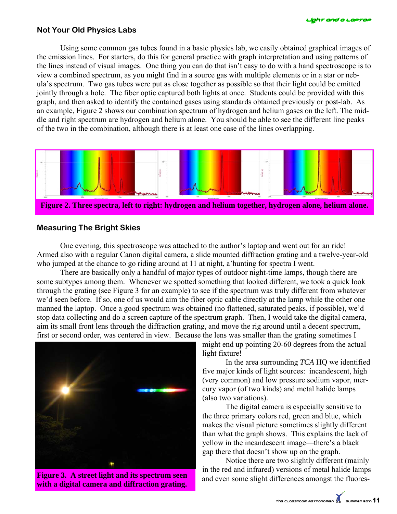### **Not Your Old Physics Labs**

 Using some common gas tubes found in a basic physics lab, we easily obtained graphical images of the emission lines. For starters, do this for general practice with graph interpretation and using patterns of the lines instead of visual images. One thing you can do that isn't easy to do with a hand spectroscope is to view a combined spectrum, as you might find in a source gas with multiple elements or in a star or nebula's spectrum. Two gas tubes were put as close together as possible so that their light could be emitted jointly through a hole. The fiber optic captured both lights at once. Students could be provided with this graph, and then asked to identify the contained gases using standards obtained previously or post-lab. As an example, Figure 2 shows our combination spectrum of hydrogen and helium gases on the left. The middle and right spectrum are hydrogen and helium alone. You should be able to see the different line peaks of the two in the combination, although there is at least one case of the lines overlapping.



## **Measuring The Bright Skies**

 One evening, this spectroscope was attached to the author's laptop and went out for an ride! Armed also with a regular Canon digital camera, a slide mounted diffraction grating and a twelve-year-old who jumped at the chance to go riding around at 11 at night, a'hunting for spectra I went.

 There are basically only a handful of major types of outdoor night-time lamps, though there are some subtypes among them. Whenever we spotted something that looked different, we took a quick look through the grating (see Figure 3 for an example) to see if the spectrum was truly different from whatever we'd seen before. If so, one of us would aim the fiber optic cable directly at the lamp while the other one manned the laptop. Once a good spectrum was obtained (no flattened, saturated peaks, if possible), we'd stop data collecting and do a screen capture of the spectrum graph. Then, I would take the digital camera, aim its small front lens through the diffraction grating, and move the rig around until a decent spectrum, first or second order, was centered in view. Because the lens was smaller than the grating sometimes I



**Figure 3. A street light and its spectrum seen with a digital camera and diffraction grating.** 

might end up pointing 20-60 degrees from the actual light fixture!

 In the area surrounding *TCA* HQ we identified five major kinds of light sources: incandescent, high (very common) and low pressure sodium vapor, mercury vapor (of two kinds) and metal halide lamps (also two variations).

 The digital camera is especially sensitive to the three primary colors red, green and blue, which makes the visual picture sometimes slightly different than what the graph shows. This explains the lack of yellow in the incandescent image—there's a black gap there that doesn't show up on the graph.

 Notice there are two slightly different (mainly in the red and infrared) versions of metal halide lamps and even some slight differences amongst the fluores-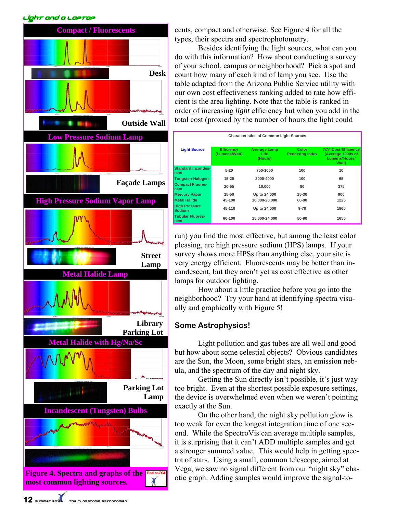#### Light and a Laptop



cents, compact and otherwise. See Figure 4 for all the types, their spectra and spectrophotometry.

 Besides identifying the light sources, what can you do with this information? How about conducting a survey of your school, campus or neighborhood? Pick a spot and count how many of each kind of lamp you see. Use the table adapted from the Arizona Public Service utility with our own cost effectiveness ranking added to rate how efficient is the area lighting. Note that the table is ranked in order of increasing *light* efficiency but when you add in the total cost (proxied by the number of hours the light could

| <b>Characteristics of Common Light Sources</b> |                                    |                                        |                                        |                                                                           |
|------------------------------------------------|------------------------------------|----------------------------------------|----------------------------------------|---------------------------------------------------------------------------|
| <b>Light Source</b>                            | <b>Efficiency</b><br>(Lumens/Watt) | <b>Average Lamp</b><br>Life<br>(Hours) | <b>Color</b><br><b>Rendering Index</b> | <b>TCA Cost Efficiency</b><br>(Average 1000s of<br>Lumens*Hours/<br>Watt) |
| <b>Standard Incandes-</b><br><b>cent</b>       | $5 - 20$                           | 750-1000                               | 100                                    | 10 <sup>1</sup>                                                           |
| Tungsten-Halogen                               | $15 - 25$                          | 2000-4000                              | 100                                    | 65                                                                        |
| <b>Compact Fluores-</b><br><b>cent</b>         | $20 - 55$                          | 10.000                                 | 80                                     | 375                                                                       |
| <b>Mercury Vapor</b>                           | $25 - 50$                          | Up to 24,000                           | $15 - 30$                              | 900                                                                       |
| <b>Metal Halide</b>                            | 45-100                             | 10.000-20.000                          | 60-90                                  | 1225                                                                      |
| <b>High Pressure</b><br>Sodium                 | 45-110                             | Up to 24,000                           | $9 - 70$                               | 1860                                                                      |
| <b>Tubular Fluores-</b><br><b>cent</b>         | 60-100                             | 15,000-24,000                          | 50-90                                  | 1650                                                                      |

run) you find the most effective, but among the least color pleasing, are high pressure sodium (HPS) lamps. If your survey shows more HPSs than anything else, your site is very energy efficient. Fluorescents may be better than incandescent, but they aren't yet as cost effective as other lamps for outdoor lighting.

 How about a little practice before you go into the neighborhood? Try your hand at identifying spectra visually and graphically with Figure 5!

## **Some Astrophysics!**

 Light pollution and gas tubes are all well and good but how about some celestial objects? Obvious candidates are the Sun, the Moon, some bright stars, an emission nebula, and the spectrum of the day and night sky.

 Getting the Sun directly isn't possible, it's just way too bright. Even at the shortest possible exposure settings, the device is overwhelmed even when we weren't pointing exactly at the Sun.

 On the other hand, the night sky pollution glow is too weak for even the longest integration time of one second. While the SpectroVis can average multiple samples, it is surprising that it can't ADD multiple samples and get a stronger summed value. This would help in getting spectra of stars. Using a small, common telescope, aimed at Vega, we saw no signal different from our "night sky" chaotic graph. Adding samples would improve the signal-to-